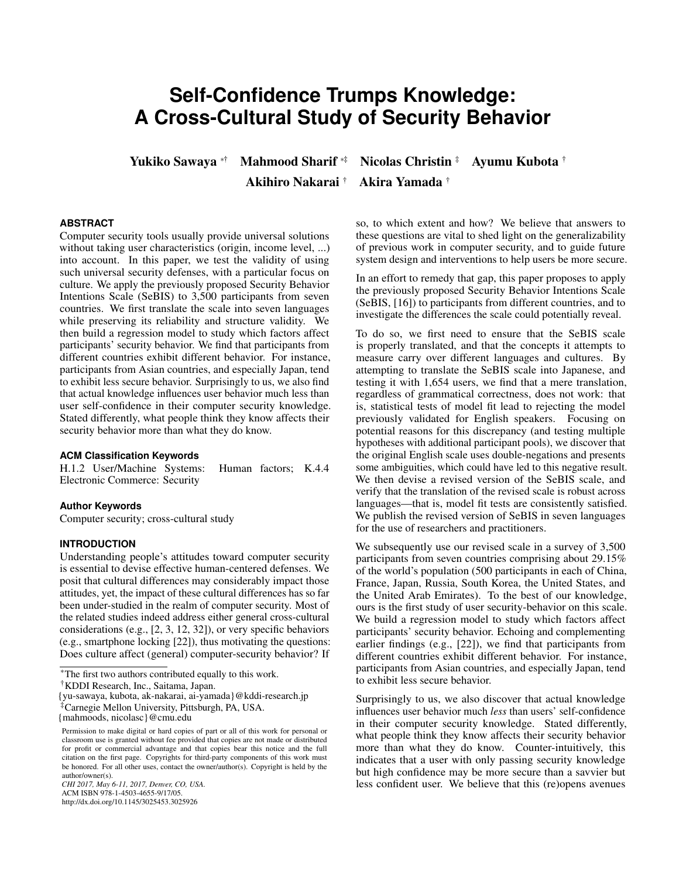# **Self-Confidence Trumps Knowledge: A Cross-Cultural Study of Security Behavior**

Akihiro Nakarai † Akira Yamada †

Yukiko Sawaya <sup>∗</sup>† Mahmood Sharif <sup>∗</sup>‡ Nicolas Christin ‡ Ayumu Kubota †

# **ABSTRACT**

Computer security tools usually provide universal solutions without taking user characteristics (origin, income level, ...) into account. In this paper, we test the validity of using such universal security defenses, with a particular focus on culture. We apply the previously proposed Security Behavior Intentions Scale (SeBIS) to 3,500 participants from seven countries. We first translate the scale into seven languages while preserving its reliability and structure validity. We then build a regression model to study which factors affect participants' security behavior. We find that participants from different countries exhibit different behavior. For instance, participants from Asian countries, and especially Japan, tend to exhibit less secure behavior. Surprisingly to us, we also find that actual knowledge influences user behavior much less than user self-confidence in their computer security knowledge. Stated differently, what people think they know affects their security behavior more than what they do know.

## **ACM Classification Keywords**

H.1.2 User/Machine Systems: Human factors; K.4.4 Electronic Commerce: Security

## **Author Keywords**

Computer security; cross-cultural study

#### **INTRODUCTION**

Understanding people's attitudes toward computer security is essential to devise effective human-centered defenses. We posit that cultural differences may considerably impact those attitudes, yet, the impact of these cultural differences has so far been under-studied in the realm of computer security. Most of the related studies indeed address either general cross-cultural considerations (e.g., [\[2,](#page-9-0) [3,](#page-9-1) [12,](#page-9-2) [32\]](#page-10-0)), or very specific behaviors (e.g., smartphone locking [\[22\]](#page-10-1)), thus motivating the questions: Does culture affect (general) computer-security behavior? If

{yu-sawaya, kubota, ak-nakarai, ai-yamada}@kddi-research.jp

http://dx.doi.org/10.1145/3025453.3025926

so, to which extent and how? We believe that answers to these questions are vital to shed light on the generalizability of previous work in computer security, and to guide future system design and interventions to help users be more secure.

In an effort to remedy that gap, this paper proposes to apply the previously proposed Security Behavior Intentions Scale (SeBIS, [\[16\]](#page-9-3)) to participants from different countries, and to investigate the differences the scale could potentially reveal.

To do so, we first need to ensure that the SeBIS scale is properly translated, and that the concepts it attempts to measure carry over different languages and cultures. By attempting to translate the SeBIS scale into Japanese, and testing it with 1,654 users, we find that a mere translation, regardless of grammatical correctness, does not work: that is, statistical tests of model fit lead to rejecting the model previously validated for English speakers. Focusing on potential reasons for this discrepancy (and testing multiple hypotheses with additional participant pools), we discover that the original English scale uses double-negations and presents some ambiguities, which could have led to this negative result. We then devise a revised version of the SeBIS scale, and verify that the translation of the revised scale is robust across languages—that is, model fit tests are consistently satisfied. We publish the revised version of SeBIS in seven languages for the use of researchers and practitioners.

We subsequently use our revised scale in a survey of 3,500 participants from seven countries comprising about 29.15% of the world's population (500 participants in each of China, France, Japan, Russia, South Korea, the United States, and the United Arab Emirates). To the best of our knowledge, ours is the first study of user security-behavior on this scale. We build a regression model to study which factors affect participants' security behavior. Echoing and complementing earlier findings (e.g., [\[22\]](#page-10-1)), we find that participants from different countries exhibit different behavior. For instance, participants from Asian countries, and especially Japan, tend to exhibit less secure behavior.

Surprisingly to us, we also discover that actual knowledge influences user behavior much *less* than users' self-confidence in their computer security knowledge. Stated differently, what people think they know affects their security behavior more than what they do know. Counter-intuitively, this indicates that a user with only passing security knowledge but high confidence may be more secure than a savvier but less confident user. We believe that this (re)opens avenues

<sup>\*</sup>The first two authors contributed equally to this work.

<sup>†</sup>KDDI Research, Inc., Saitama, Japan.

<sup>‡</sup>Carnegie Mellon University, Pittsburgh, PA, USA.

<sup>{</sup>mahmoods, nicolasc}@cmu.edu

Permission to make digital or hard copies of part or all of this work for personal or classroom use is granted without fee provided that copies are not made or distributed for profit or commercial advantage and that copies bear this notice and the full citation on the first page. Copyrights for third-party components of this work must be honored. For all other uses, contact the owner/author(s). Copyright is held by the author/owner(s).

*CHI 2017, May 6-11, 2017, Denver, CO, USA.* ACM ISBN 978-1-4503-4655-9/17/05.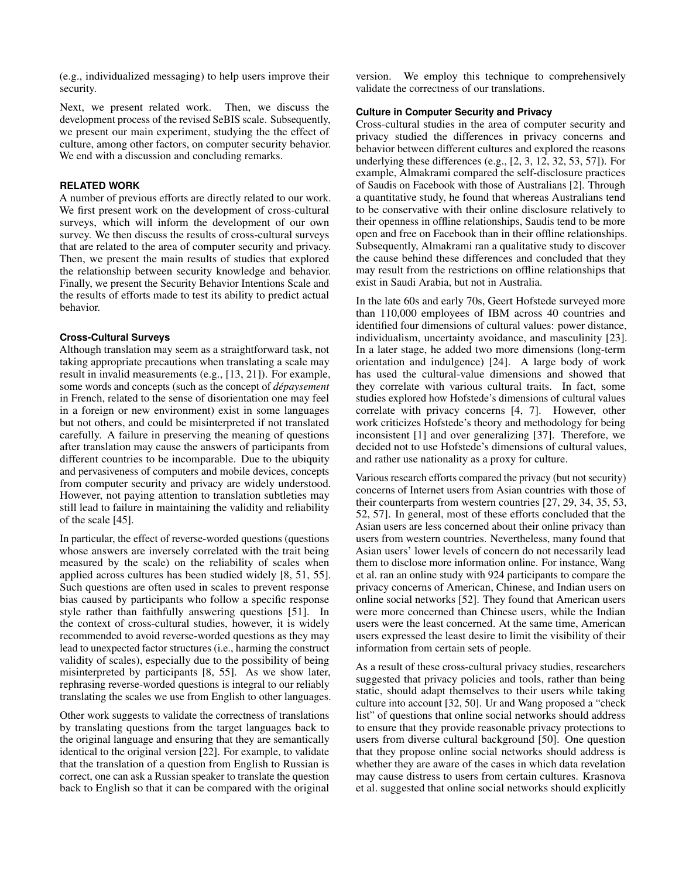(e.g., individualized messaging) to help users improve their security.

Next, we present related work. Then, we discuss the development process of the revised SeBIS scale. Subsequently, we present our main experiment, studying the the effect of culture, among other factors, on computer security behavior. We end with a discussion and concluding remarks.

## **RELATED WORK**

A number of previous efforts are directly related to our work. We first present work on the development of cross-cultural surveys, which will inform the development of our own survey. We then discuss the results of cross-cultural surveys that are related to the area of computer security and privacy. Then, we present the main results of studies that explored the relationship between security knowledge and behavior. Finally, we present the Security Behavior Intentions Scale and the results of efforts made to test its ability to predict actual behavior.

# **Cross-Cultural Surveys**

Although translation may seem as a straightforward task, not taking appropriate precautions when translating a scale may result in invalid measurements (e.g., [\[13,](#page-9-4) [21\]](#page-10-2)). For example, some words and concepts (such as the concept of *dépaysement* in French, related to the sense of disorientation one may feel in a foreign or new environment) exist in some languages but not others, and could be misinterpreted if not translated carefully. A failure in preserving the meaning of questions after translation may cause the answers of participants from different countries to be incomparable. Due to the ubiquity and pervasiveness of computers and mobile devices, concepts from computer security and privacy are widely understood. However, not paying attention to translation subtleties may still lead to failure in maintaining the validity and reliability of the scale [\[45\]](#page-11-0).

In particular, the effect of reverse-worded questions (questions whose answers are inversely correlated with the trait being measured by the scale) on the reliability of scales when applied across cultures has been studied widely [\[8,](#page-9-5) [51,](#page-11-1) [55\]](#page-11-2). Such questions are often used in scales to prevent response bias caused by participants who follow a specific response style rather than faithfully answering questions [\[51\]](#page-11-1). In the context of cross-cultural studies, however, it is widely recommended to avoid reverse-worded questions as they may lead to unexpected factor structures (i.e., harming the construct validity of scales), especially due to the possibility of being misinterpreted by participants [\[8,](#page-9-5) [55\]](#page-11-2). As we show later, rephrasing reverse-worded questions is integral to our reliably translating the scales we use from English to other languages.

Other work suggests to validate the correctness of translations by translating questions from the target languages back to the original language and ensuring that they are semantically identical to the original version [\[22\]](#page-10-1). For example, to validate that the translation of a question from English to Russian is correct, one can ask a Russian speaker to translate the question back to English so that it can be compared with the original

version. We employ this technique to comprehensively validate the correctness of our translations.

## **Culture in Computer Security and Privacy**

Cross-cultural studies in the area of computer security and privacy studied the differences in privacy concerns and behavior between different cultures and explored the reasons underlying these differences (e.g., [\[2,](#page-9-0) [3,](#page-9-1) [12,](#page-9-2) [32,](#page-10-0) [53,](#page-11-3) [57\]](#page-11-4)). For example, Almakrami compared the self-disclosure practices of Saudis on Facebook with those of Australians [\[2\]](#page-9-0). Through a quantitative study, he found that whereas Australians tend to be conservative with their online disclosure relatively to their openness in offline relationships, Saudis tend to be more open and free on Facebook than in their offline relationships. Subsequently, Almakrami ran a qualitative study to discover the cause behind these differences and concluded that they may result from the restrictions on offline relationships that exist in Saudi Arabia, but not in Australia.

In the late 60s and early 70s, Geert Hofstede surveyed more than 110,000 employees of IBM across 40 countries and identified four dimensions of cultural values: power distance, individualism, uncertainty avoidance, and masculinity [\[23\]](#page-10-3). In a later stage, he added two more dimensions (long-term orientation and indulgence) [\[24\]](#page-10-4). A large body of work has used the cultural-value dimensions and showed that they correlate with various cultural traits. In fact, some studies explored how Hofstede's dimensions of cultural values correlate with privacy concerns [\[4,](#page-9-6) [7\]](#page-9-7). However, other work criticizes Hofstede's theory and methodology for being inconsistent [\[1\]](#page-9-8) and over generalizing [\[37\]](#page-10-5). Therefore, we decided not to use Hofstede's dimensions of cultural values, and rather use nationality as a proxy for culture.

Various research efforts compared the privacy (but not security) concerns of Internet users from Asian countries with those of their counterparts from western countries [\[27,](#page-10-6) [29,](#page-10-7) [34,](#page-10-8) [35,](#page-10-9) [53,](#page-11-3) [52,](#page-11-5) [57\]](#page-11-4). In general, most of these efforts concluded that the Asian users are less concerned about their online privacy than users from western countries. Nevertheless, many found that Asian users' lower levels of concern do not necessarily lead them to disclose more information online. For instance, Wang et al. ran an online study with 924 participants to compare the privacy concerns of American, Chinese, and Indian users on online social networks [\[52\]](#page-11-5). They found that American users were more concerned than Chinese users, while the Indian users were the least concerned. At the same time, American users expressed the least desire to limit the visibility of their information from certain sets of people.

As a result of these cross-cultural privacy studies, researchers suggested that privacy policies and tools, rather than being static, should adapt themselves to their users while taking culture into account [\[32,](#page-10-0) [50\]](#page-11-6). Ur and Wang proposed a "check list" of questions that online social networks should address to ensure that they provide reasonable privacy protections to users from diverse cultural background [\[50\]](#page-11-6). One question that they propose online social networks should address is whether they are aware of the cases in which data revelation may cause distress to users from certain cultures. Krasnova et al. suggested that online social networks should explicitly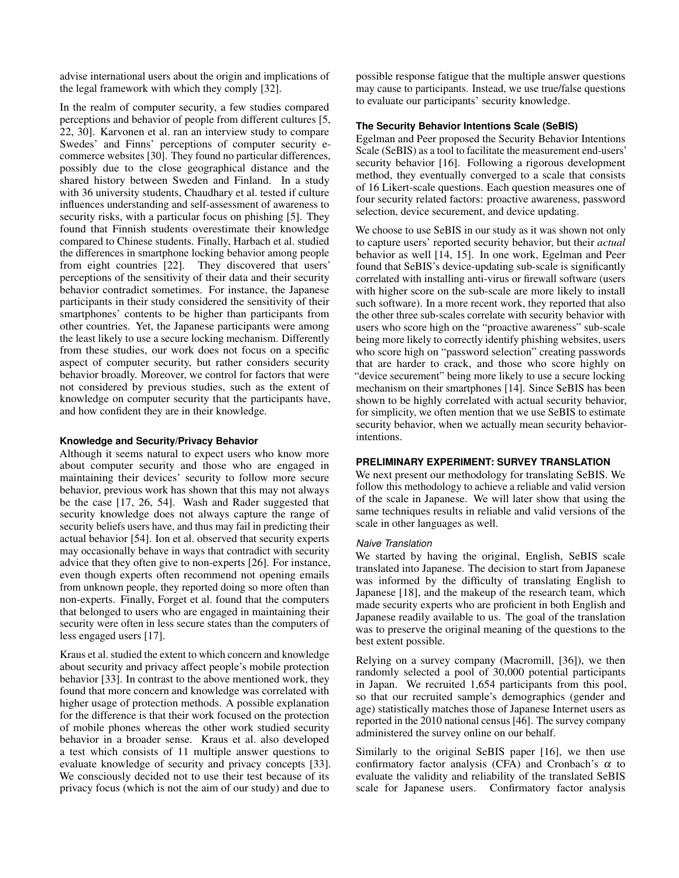advise international users about the origin and implications of the legal framework with which they comply [\[32\]](#page-10-0).

In the realm of computer security, a few studies compared perceptions and behavior of people from different cultures [\[5,](#page-9-9) [22,](#page-10-1) [30\]](#page-10-10). Karvonen et al. ran an interview study to compare Swedes' and Finns' perceptions of computer security ecommerce websites [\[30\]](#page-10-10). They found no particular differences, possibly due to the close geographical distance and the shared history between Sweden and Finland. In a study with 36 university students, Chaudhary et al. tested if culture influences understanding and self-assessment of awareness to security risks, with a particular focus on phishing [\[5\]](#page-9-9). They found that Finnish students overestimate their knowledge compared to Chinese students. Finally, Harbach et al. studied the differences in smartphone locking behavior among people from eight countries [\[22\]](#page-10-1). They discovered that users' perceptions of the sensitivity of their data and their security behavior contradict sometimes. For instance, the Japanese participants in their study considered the sensitivity of their smartphones' contents to be higher than participants from other countries. Yet, the Japanese participants were among the least likely to use a secure locking mechanism. Differently from these studies, our work does not focus on a specific aspect of computer security, but rather considers security behavior broadly. Moreover, we control for factors that were not considered by previous studies, such as the extent of knowledge on computer security that the participants have, and how confident they are in their knowledge.

#### **Knowledge and Security/Privacy Behavior**

Although it seems natural to expect users who know more about computer security and those who are engaged in maintaining their devices' security to follow more secure behavior, previous work has shown that this may not always be the case [\[17,](#page-10-11) [26,](#page-10-12) [54\]](#page-11-7). Wash and Rader suggested that security knowledge does not always capture the range of security beliefs users have, and thus may fail in predicting their actual behavior [\[54\]](#page-11-7). Ion et al. observed that security experts may occasionally behave in ways that contradict with security advice that they often give to non-experts [\[26\]](#page-10-12). For instance, even though experts often recommend not opening emails from unknown people, they reported doing so more often than non-experts. Finally, Forget et al. found that the computers that belonged to users who are engaged in maintaining their security were often in less secure states than the computers of less engaged users [\[17\]](#page-10-11).

Kraus et al. studied the extent to which concern and knowledge about security and privacy affect people's mobile protection behavior [\[33\]](#page-10-13). In contrast to the above mentioned work, they found that more concern and knowledge was correlated with higher usage of protection methods. A possible explanation for the difference is that their work focused on the protection of mobile phones whereas the other work studied security behavior in a broader sense. Kraus et al. also developed a test which consists of 11 multiple answer questions to evaluate knowledge of security and privacy concepts [\[33\]](#page-10-13). We consciously decided not to use their test because of its privacy focus (which is not the aim of our study) and due to

possible response fatigue that the multiple answer questions may cause to participants. Instead, we use true/false questions to evaluate our participants' security knowledge.

### **The Security Behavior Intentions Scale (SeBIS)**

Egelman and Peer proposed the Security Behavior Intentions Scale (SeBIS) as a tool to facilitate the measurement end-users' security behavior [\[16\]](#page-9-3). Following a rigorous development method, they eventually converged to a scale that consists of 16 Likert-scale questions. Each question measures one of four security related factors: proactive awareness, password selection, device securement, and device updating.

We choose to use SeBIS in our study as it was shown not only to capture users' reported security behavior, but their *actual* behavior as well [\[14,](#page-9-10) [15\]](#page-9-11). In one work, Egelman and Peer found that SeBIS's device-updating sub-scale is significantly correlated with installing anti-virus or firewall software (users with higher score on the sub-scale are more likely to install such software). In a more recent work, they reported that also the other three sub-scales correlate with security behavior with users who score high on the "proactive awareness" sub-scale being more likely to correctly identify phishing websites, users who score high on "password selection" creating passwords that are harder to crack, and those who score highly on "device securement" being more likely to use a secure locking mechanism on their smartphones [\[14\]](#page-9-10). Since SeBIS has been shown to be highly correlated with actual security behavior, for simplicity, we often mention that we use SeBIS to estimate security behavior, when we actually mean security behaviorintentions.

#### **PRELIMINARY EXPERIMENT: SURVEY TRANSLATION**

We next present our methodology for translating SeBIS. We follow this methodology to achieve a reliable and valid version of the scale in Japanese. We will later show that using the same techniques results in reliable and valid versions of the scale in other languages as well.

#### *Naive Translation*

We started by having the original, English, SeBIS scale translated into Japanese. The decision to start from Japanese was informed by the difficulty of translating English to Japanese [\[18\]](#page-10-14), and the makeup of the research team, which made security experts who are proficient in both English and Japanese readily available to us. The goal of the translation was to preserve the original meaning of the questions to the best extent possible.

Relying on a survey company (Macromill, [\[36\]](#page-10-15)), we then randomly selected a pool of 30,000 potential participants in Japan. We recruited 1,654 participants from this pool, so that our recruited sample's demographics (gender and age) statistically matches those of Japanese Internet users as reported in the 2010 national census [\[46\]](#page-11-8). The survey company administered the survey online on our behalf.

Similarly to the original SeBIS paper [\[16\]](#page-9-3), we then use confirmatory factor analysis (CFA) and Cronbach's  $\alpha$  to evaluate the validity and reliability of the translated SeBIS scale for Japanese users. Confirmatory factor analysis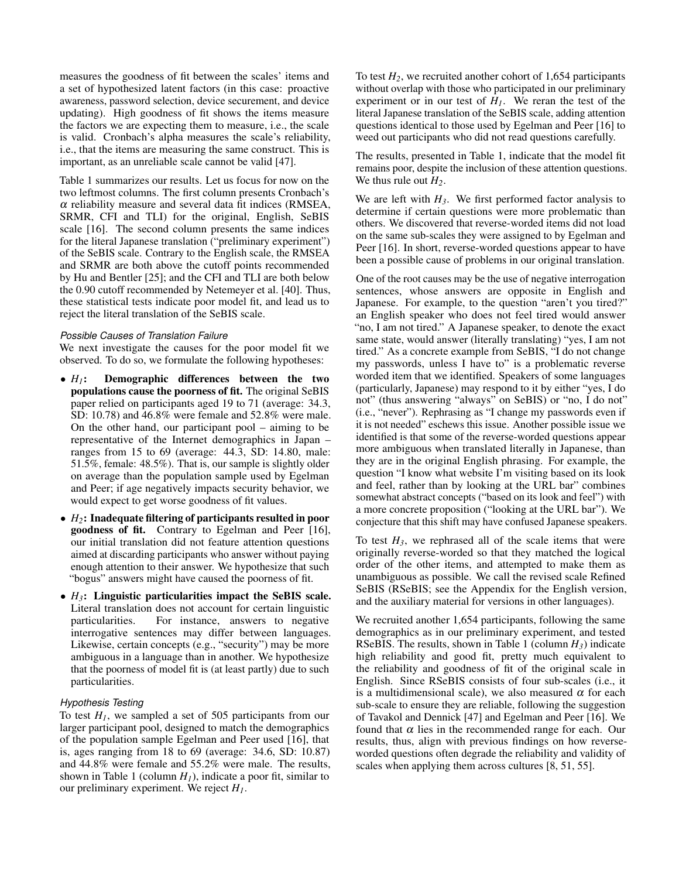measures the goodness of fit between the scales' items and a set of hypothesized latent factors (in this case: proactive awareness, password selection, device securement, and device updating). High goodness of fit shows the items measure the factors we are expecting them to measure, i.e., the scale is valid. Cronbach's alpha measures the scale's reliability, i.e., that the items are measuring the same construct. This is important, as an unreliable scale cannot be valid [\[47\]](#page-11-9).

Table [1](#page-4-0) summarizes our results. Let us focus for now on the two leftmost columns. The first column presents Cronbach's  $\alpha$  reliability measure and several data fit indices (RMSEA, SRMR, CFI and TLI) for the original, English, SeBIS scale [\[16\]](#page-9-3). The second column presents the same indices for the literal Japanese translation ("preliminary experiment") of the SeBIS scale. Contrary to the English scale, the RMSEA and SRMR are both above the cutoff points recommended by Hu and Bentler [\[25\]](#page-10-16); and the CFI and TLI are both below the 0.90 cutoff recommended by Netemeyer et al. [\[40\]](#page-10-17). Thus, these statistical tests indicate poor model fit, and lead us to reject the literal translation of the SeBIS scale.

## *Possible Causes of Translation Failure*

We next investigate the causes for the poor model fit we observed. To do so, we formulate the following hypotheses:

- *H1*: Demographic differences between the two populations cause the poorness of fit. The original SeBIS paper relied on participants aged 19 to 71 (average: 34.3, SD: 10.78) and 46.8% were female and 52.8% were male. On the other hand, our participant pool – aiming to be representative of the Internet demographics in Japan – ranges from 15 to 69 (average: 44.3, SD: 14.80, male: 51.5%, female: 48.5%). That is, our sample is slightly older on average than the population sample used by Egelman and Peer; if age negatively impacts security behavior, we would expect to get worse goodness of fit values.
- *H2*: Inadequate filtering of participants resulted in poor goodness of fit. Contrary to Egelman and Peer [\[16\]](#page-9-3), our initial translation did not feature attention questions aimed at discarding participants who answer without paying enough attention to their answer. We hypothesize that such "bogus" answers might have caused the poorness of fit.
- *H3*: Linguistic particularities impact the SeBIS scale. Literal translation does not account for certain linguistic For instance, answers to negative interrogative sentences may differ between languages. Likewise, certain concepts (e.g., "security") may be more ambiguous in a language than in another. We hypothesize that the poorness of model fit is (at least partly) due to such particularities.

## *Hypothesis Testing*

To test  $H<sub>1</sub>$ , we sampled a set of 505 participants from our larger participant pool, designed to match the demographics of the population sample Egelman and Peer used [\[16\]](#page-9-3), that is, ages ranging from 18 to 69 (average: 34.6, SD: 10.87) and 44.8% were female and 55.2% were male. The results, shown in Table [1](#page-4-0) (column  $H<sub>1</sub>$ ), indicate a poor fit, similar to our preliminary experiment. We reject *H1*.

To test  $H_2$ , we recruited another cohort of 1,654 participants without overlap with those who participated in our preliminary experiment or in our test of  $H<sub>1</sub>$ . We reran the test of the literal Japanese translation of the SeBIS scale, adding attention questions identical to those used by Egelman and Peer [\[16\]](#page-9-3) to weed out participants who did not read questions carefully.

The results, presented in Table [1,](#page-4-0) indicate that the model fit remains poor, despite the inclusion of these attention questions. We thus rule out *H2*.

We are left with  $H_3$ . We first performed factor analysis to determine if certain questions were more problematic than others. We discovered that reverse-worded items did not load on the same sub-scales they were assigned to by Egelman and Peer [\[16\]](#page-9-3). In short, reverse-worded questions appear to have been a possible cause of problems in our original translation.

One of the root causes may be the use of negative interrogation sentences, whose answers are opposite in English and Japanese. For example, to the question "aren't you tired?" an English speaker who does not feel tired would answer "no, I am not tired." A Japanese speaker, to denote the exact same state, would answer (literally translating) "yes, I am not tired." As a concrete example from SeBIS, "I do not change my passwords, unless I have to" is a problematic reverse worded item that we identified. Speakers of some languages (particularly, Japanese) may respond to it by either "yes, I do not" (thus answering "always" on SeBIS) or "no, I do not" (i.e., "never"). Rephrasing as "I change my passwords even if it is not needed" eschews this issue. Another possible issue we identified is that some of the reverse-worded questions appear more ambiguous when translated literally in Japanese, than they are in the original English phrasing. For example, the question "I know what website I'm visiting based on its look and feel, rather than by looking at the URL bar" combines somewhat abstract concepts ("based on its look and feel") with a more concrete proposition ("looking at the URL bar"). We conjecture that this shift may have confused Japanese speakers.

To test  $H_3$ , we rephrased all of the scale items that were originally reverse-worded so that they matched the logical order of the other items, and attempted to make them as unambiguous as possible. We call the revised scale Refined SeBIS (RSeBIS; see the Appendix for the English version, and the auxiliary material for versions in other languages).

We recruited another 1,654 participants, following the same demographics as in our preliminary experiment, and tested RSeBIS. The results, shown in Table [1](#page-4-0) (column *H3*) indicate high reliability and good fit, pretty much equivalent to the reliability and goodness of fit of the original scale in English. Since RSeBIS consists of four sub-scales (i.e., it is a multidimensional scale), we also measured  $\alpha$  for each sub-scale to ensure they are reliable, following the suggestion of Tavakol and Dennick [\[47\]](#page-11-9) and Egelman and Peer [\[16\]](#page-9-3). We found that  $\alpha$  lies in the recommended range for each. Our results, thus, align with previous findings on how reverseworded questions often degrade the reliability and validity of scales when applying them across cultures [\[8,](#page-9-5) [51,](#page-11-1) [55\]](#page-11-2).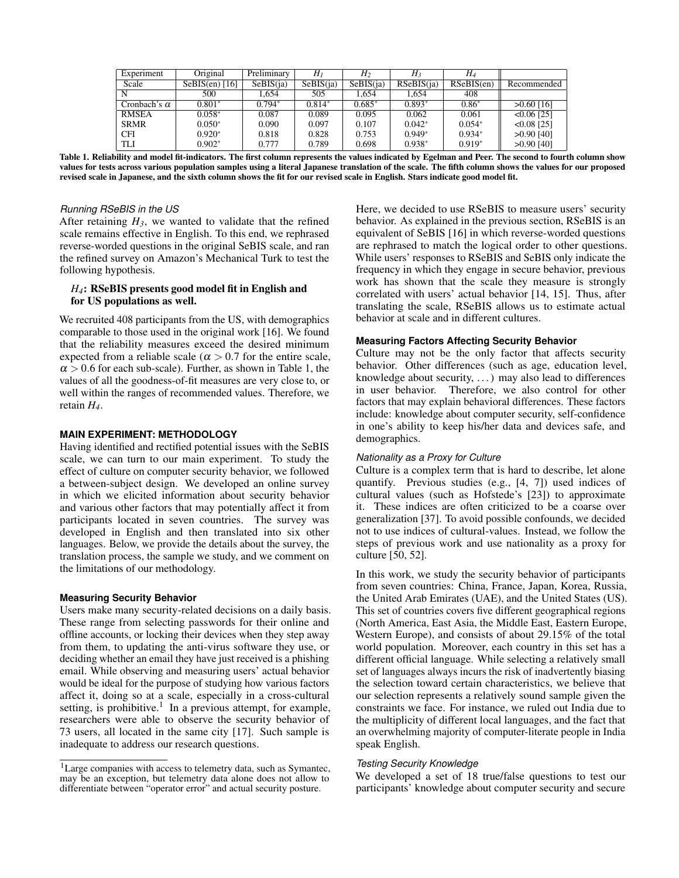| Experiment          | Original         | Preliminary | Hı        | $H_2$     | $H_3$      | H4         |               |
|---------------------|------------------|-------------|-----------|-----------|------------|------------|---------------|
| Scale               | $SeBIS(en)$ [16] | SeBIS(ia)   | SeBIS(ia) | SeBIS(ia) | RSeBIS(ia) | RSeBIS(en) | Recommended   |
| N                   | 500              | .654        | 505       | 1.654     | 1.654      | 408        |               |
| Cronbach's $\alpha$ | $0.801*$         | $0.794*$    | $0.814*$  | $0.685*$  | $0.893*$   | $0.86*$    | $>0.60$ [16]  |
| <b>RMSEA</b>        | $0.058*$         | 0.087       | 0.089     | 0.095     | 0.062      | 0.061      | $< 0.06$ [25] |
| <b>SRMR</b>         | $0.050*$         | 0.090       | 0.097     | 0.107     | $0.042*$   | $0.054*$   | $< 0.08$ [25] |
| <b>CFI</b>          | $0.920*$         | 0.818       | 0.828     | 0.753     | $0.949*$   | $0.934*$   | $>0.90$ [40]  |
| <b>TLI</b>          | $0.902*$         | 0.777       | 0.789     | 0.698     | $0.938*$   | $0.919*$   | $>0.90$ [40]  |

<span id="page-4-0"></span>Table 1. Reliability and model fit-indicators. The first column represents the values indicated by Egelman and Peer. The second to fourth column show values for tests across various population samples using a literal Japanese translation of the scale. The fifth column shows the values for our proposed revised scale in Japanese, and the sixth column shows the fit for our revised scale in English. Stars indicate good model fit.

#### *Running RSeBIS in the US*

After retaining  $H_3$ , we wanted to validate that the refined scale remains effective in English. To this end, we rephrased reverse-worded questions in the original SeBIS scale, and ran the refined survey on Amazon's Mechanical Turk to test the following hypothesis.

## *H4*: RSeBIS presents good model fit in English and for US populations as well.

We recruited 408 participants from the US, with demographics comparable to those used in the original work [\[16\]](#page-9-3). We found that the reliability measures exceed the desired minimum expected from a reliable scale ( $\alpha > 0.7$  for the entire scale,  $\alpha$  > 0.6 for each sub-scale). Further, as shown in Table [1,](#page-4-0) the values of all the goodness-of-fit measures are very close to, or well within the ranges of recommended values. Therefore, we retain *H4*.

# **MAIN EXPERIMENT: METHODOLOGY**

Having identified and rectified potential issues with the SeBIS scale, we can turn to our main experiment. To study the effect of culture on computer security behavior, we followed a between-subject design. We developed an online survey in which we elicited information about security behavior and various other factors that may potentially affect it from participants located in seven countries. The survey was developed in English and then translated into six other languages. Below, we provide the details about the survey, the translation process, the sample we study, and we comment on the limitations of our methodology.

#### **Measuring Security Behavior**

Users make many security-related decisions on a daily basis. These range from selecting passwords for their online and offline accounts, or locking their devices when they step away from them, to updating the anti-virus software they use, or deciding whether an email they have just received is a phishing email. While observing and measuring users' actual behavior would be ideal for the purpose of studying how various factors affect it, doing so at a scale, especially in a cross-cultural setting, is prohibitive.<sup>[1](#page-4-1)</sup> In a previous attempt, for example, researchers were able to observe the security behavior of 73 users, all located in the same city [\[17\]](#page-10-11). Such sample is inadequate to address our research questions.

Here, we decided to use RSeBIS to measure users' security behavior. As explained in the previous section, RSeBIS is an equivalent of SeBIS [\[16\]](#page-9-3) in which reverse-worded questions are rephrased to match the logical order to other questions. While users' responses to RSeBIS and SeBIS only indicate the frequency in which they engage in secure behavior, previous work has shown that the scale they measure is strongly correlated with users' actual behavior [\[14,](#page-9-10) [15\]](#page-9-11). Thus, after translating the scale, RSeBIS allows us to estimate actual behavior at scale and in different cultures.

## **Measuring Factors Affecting Security Behavior**

Culture may not be the only factor that affects security behavior. Other differences (such as age, education level, knowledge about security, . . . ) may also lead to differences in user behavior. Therefore, we also control for other factors that may explain behavioral differences. These factors include: knowledge about computer security, self-confidence in one's ability to keep his/her data and devices safe, and demographics.

## *Nationality as a Proxy for Culture*

Culture is a complex term that is hard to describe, let alone quantify. Previous studies (e.g., [\[4,](#page-9-6) [7\]](#page-9-7)) used indices of cultural values (such as Hofstede's [\[23\]](#page-10-3)) to approximate it. These indices are often criticized to be a coarse over generalization [\[37\]](#page-10-5). To avoid possible confounds, we decided not to use indices of cultural-values. Instead, we follow the steps of previous work and use nationality as a proxy for culture [\[50,](#page-11-6) [52\]](#page-11-5).

In this work, we study the security behavior of participants from seven countries: China, France, Japan, Korea, Russia, the United Arab Emirates (UAE), and the United States (US). This set of countries covers five different geographical regions (North America, East Asia, the Middle East, Eastern Europe, Western Europe), and consists of about 29.15% of the total world population. Moreover, each country in this set has a different official language. While selecting a relatively small set of languages always incurs the risk of inadvertently biasing the selection toward certain characteristics, we believe that our selection represents a relatively sound sample given the constraints we face. For instance, we ruled out India due to the multiplicity of different local languages, and the fact that an overwhelming majority of computer-literate people in India speak English.

### *Testing Security Knowledge*

We developed a set of 18 true/false questions to test our participants' knowledge about computer security and secure

<span id="page-4-1"></span><sup>1</sup>Large companies with access to telemetry data, such as Symantec, may be an exception, but telemetry data alone does not allow to differentiate between "operator error" and actual security posture.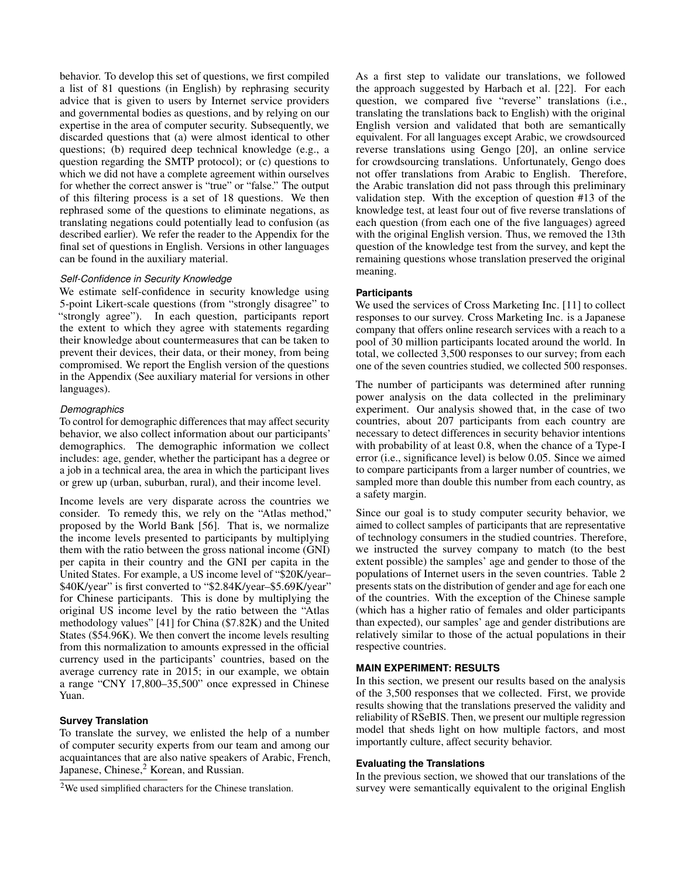behavior. To develop this set of questions, we first compiled a list of 81 questions (in English) by rephrasing security advice that is given to users by Internet service providers and governmental bodies as questions, and by relying on our expertise in the area of computer security. Subsequently, we discarded questions that (a) were almost identical to other questions; (b) required deep technical knowledge (e.g., a question regarding the SMTP protocol); or (c) questions to which we did not have a complete agreement within ourselves for whether the correct answer is "true" or "false." The output of this filtering process is a set of 18 questions. We then rephrased some of the questions to eliminate negations, as translating negations could potentially lead to confusion (as described earlier). We refer the reader to the Appendix for the final set of questions in English. Versions in other languages can be found in the auxiliary material.

#### *Self-Confidence in Security Knowledge*

We estimate self-confidence in security knowledge using 5-point Likert-scale questions (from "strongly disagree" to "strongly agree"). In each question, participants report the extent to which they agree with statements regarding their knowledge about countermeasures that can be taken to prevent their devices, their data, or their money, from being compromised. We report the English version of the questions in the Appendix (See auxiliary material for versions in other languages).

## *Demographics*

To control for demographic differences that may affect security behavior, we also collect information about our participants' demographics. The demographic information we collect includes: age, gender, whether the participant has a degree or a job in a technical area, the area in which the participant lives or grew up (urban, suburban, rural), and their income level.

Income levels are very disparate across the countries we consider. To remedy this, we rely on the "Atlas method," proposed by the World Bank [\[56\]](#page-11-10). That is, we normalize the income levels presented to participants by multiplying them with the ratio between the gross national income (GNI) per capita in their country and the GNI per capita in the United States. For example, a US income level of "\$20K/year– \$40K/year" is first converted to "\$2.84K/year–\$5.69K/year" for Chinese participants. This is done by multiplying the original US income level by the ratio between the "Atlas methodology values" [\[41\]](#page-10-18) for China (\$7.82K) and the United States (\$54.96K). We then convert the income levels resulting from this normalization to amounts expressed in the official currency used in the participants' countries, based on the average currency rate in 2015; in our example, we obtain a range "CNY 17,800–35,500" once expressed in Chinese Yuan.

## **Survey Translation**

To translate the survey, we enlisted the help of a number of computer security experts from our team and among our acquaintances that are also native speakers of Arabic, French, Japanese, Chinese,<sup>[2](#page-5-0)</sup> Korean, and Russian.

As a first step to validate our translations, we followed the approach suggested by Harbach et al. [\[22\]](#page-10-1). For each question, we compared five "reverse" translations (i.e., translating the translations back to English) with the original English version and validated that both are semantically equivalent. For all languages except Arabic, we crowdsourced reverse translations using Gengo [\[20\]](#page-10-19), an online service for crowdsourcing translations. Unfortunately, Gengo does not offer translations from Arabic to English. Therefore, the Arabic translation did not pass through this preliminary validation step. With the exception of question #13 of the knowledge test, at least four out of five reverse translations of each question (from each one of the five languages) agreed with the original English version. Thus, we removed the 13th question of the knowledge test from the survey, and kept the remaining questions whose translation preserved the original meaning.

### **Participants**

We used the services of Cross Marketing Inc. [\[11\]](#page-9-12) to collect responses to our survey. Cross Marketing Inc. is a Japanese company that offers online research services with a reach to a pool of 30 million participants located around the world. In total, we collected 3,500 responses to our survey; from each one of the seven countries studied, we collected 500 responses.

The number of participants was determined after running power analysis on the data collected in the preliminary experiment. Our analysis showed that, in the case of two countries, about 207 participants from each country are necessary to detect differences in security behavior intentions with probability of at least 0.8, when the chance of a Type-I error (i.e., significance level) is below 0.05. Since we aimed to compare participants from a larger number of countries, we sampled more than double this number from each country, as a safety margin.

Since our goal is to study computer security behavior, we aimed to collect samples of participants that are representative of technology consumers in the studied countries. Therefore, we instructed the survey company to match (to the best extent possible) the samples' age and gender to those of the populations of Internet users in the seven countries. Table [2](#page-6-0) presents stats on the distribution of gender and age for each one of the countries. With the exception of the Chinese sample (which has a higher ratio of females and older participants than expected), our samples' age and gender distributions are relatively similar to those of the actual populations in their respective countries.

## **MAIN EXPERIMENT: RESULTS**

In this section, we present our results based on the analysis of the 3,500 responses that we collected. First, we provide results showing that the translations preserved the validity and reliability of RSeBIS. Then, we present our multiple regression model that sheds light on how multiple factors, and most importantly culture, affect security behavior.

#### **Evaluating the Translations**

In the previous section, we showed that our translations of the survey were semantically equivalent to the original English

<span id="page-5-0"></span><sup>2</sup>We used simplified characters for the Chinese translation.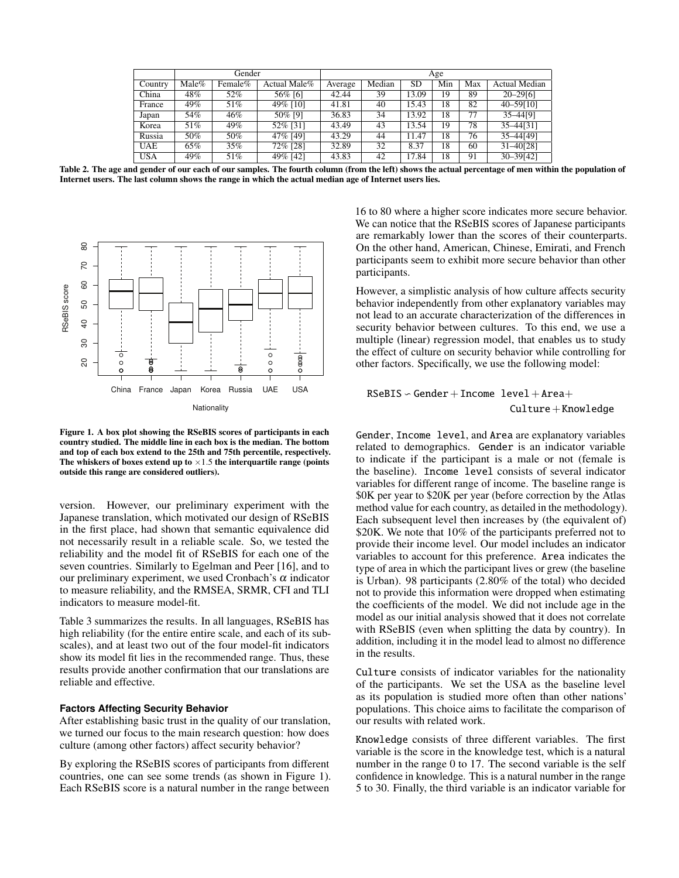|            | Gender   |         |              | Age     |        |           |     |     |               |  |
|------------|----------|---------|--------------|---------|--------|-----------|-----|-----|---------------|--|
| Country    | $Male\%$ | Female% | Actual Male% | Average | Median | <b>SD</b> | Min | Max | Actual Median |  |
| China      | 48%      | 52%     | 56% [6]      | 42.44   | 39     | 13.09     | 19  | 89  | $20 - 29[6]$  |  |
| France     | 49%      | 51%     | 49% [10]     | 41.81   | 40     | 15.43     | 18  | 82  | 40-59[10]     |  |
| Japan      | 54%      | 46%     | 50% [9]      | 36.83   | 34     | 13.92     | 18  | 77  | 35-44[9]      |  |
| Korea      | 51%      | 49%     | 52% [31]     | 43.49   | 43     | 13.54     | 19  | 78  | $35 - 44[31]$ |  |
| Russia     | 50%      | 50%     | 47% [49]     | 43.29   | 44     | 11.47     | 18  | 76  | 35-44[49]     |  |
| <b>UAE</b> | 65%      | 35%     | 72% [28]     | 32.89   | 32     | 8.37      | 18  | 60  | $31 - 40[28]$ |  |
| <b>USA</b> | 49%      | 51%     | 49% [42]     | 43.83   | 42     | 17.84     | 18  | 91  | $30 - 39[42]$ |  |

<span id="page-6-0"></span>Table 2. The age and gender of our each of our samples. The fourth column (from the left) shows the actual percentage of men within the population of Internet users. The last column shows the range in which the actual median age of Internet users lies.



<span id="page-6-1"></span>Figure 1. A box plot showing the RSeBIS scores of participants in each country studied. The middle line in each box is the median. The bottom and top of each box extend to the 25th and 75th percentile, respectively. The whiskers of boxes extend up to  $\times 1.5$  the interquartile range (points outside this range are considered outliers).

version. However, our preliminary experiment with the Japanese translation, which motivated our design of RSeBIS in the first place, had shown that semantic equivalence did not necessarily result in a reliable scale. So, we tested the reliability and the model fit of RSeBIS for each one of the seven countries. Similarly to Egelman and Peer [\[16\]](#page-9-3), and to our preliminary experiment, we used Cronbach's  $\alpha$  indicator to measure reliability, and the RMSEA, SRMR, CFI and TLI indicators to measure model-fit.

Table [3](#page-7-0) summarizes the results. In all languages, RSeBIS has high reliability (for the entire entire scale, and each of its subscales), and at least two out of the four model-fit indicators show its model fit lies in the recommended range. Thus, these results provide another confirmation that our translations are reliable and effective.

#### **Factors Affecting Security Behavior**

After establishing basic trust in the quality of our translation, we turned our focus to the main research question: how does culture (among other factors) affect security behavior?

By exploring the RSeBIS scores of participants from different countries, one can see some trends (as shown in Figure [1\)](#page-6-1). Each RSeBIS score is a natural number in the range between

16 to 80 where a higher score indicates more secure behavior. We can notice that the RSeBIS scores of Japanese participants are remarkably lower than the scores of their counterparts. On the other hand, American, Chinese, Emirati, and French participants seem to exhibit more secure behavior than other participants.

However, a simplistic analysis of how culture affects security behavior independently from other explanatory variables may not lead to an accurate characterization of the differences in security behavior between cultures. To this end, we use a multiple (linear) regression model, that enables us to study the effect of culture on security behavior while controlling for other factors. Specifically, we use the following model:

# $RSeBIS \sim Gender + Income \; level + Area +$ Culture+Knowledge

Gender, Income level, and Area are explanatory variables related to demographics. Gender is an indicator variable to indicate if the participant is a male or not (female is the baseline). Income level consists of several indicator variables for different range of income. The baseline range is \$0K per year to \$20K per year (before correction by the Atlas method value for each country, as detailed in the methodology). Each subsequent level then increases by (the equivalent of) \$20K. We note that 10% of the participants preferred not to provide their income level. Our model includes an indicator variables to account for this preference. Area indicates the type of area in which the participant lives or grew (the baseline is Urban). 98 participants (2.80% of the total) who decided not to provide this information were dropped when estimating the coefficients of the model. We did not include age in the model as our initial analysis showed that it does not correlate with RSeBIS (even when splitting the data by country). In addition, including it in the model lead to almost no difference in the results.

Culture consists of indicator variables for the nationality of the participants. We set the USA as the baseline level as its population is studied more often than other nations' populations. This choice aims to facilitate the comparison of our results with related work.

Knowledge consists of three different variables. The first variable is the score in the knowledge test, which is a natural number in the range 0 to 17. The second variable is the self confidence in knowledge. This is a natural number in the range 5 to 30. Finally, the third variable is an indicator variable for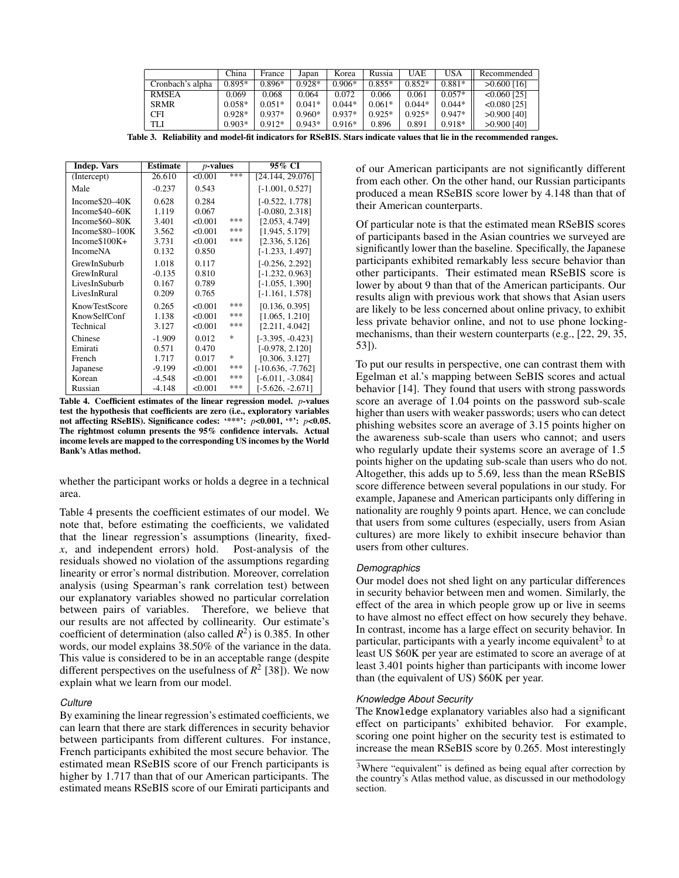|                  | China    | France   | Japan    | Korea    | Russia   | UAE      | USA      | Recommended    |
|------------------|----------|----------|----------|----------|----------|----------|----------|----------------|
| Cronbach's alpha | $0.895*$ | $0.896*$ | $0.928*$ | $0.906*$ | $0.855*$ | $0.852*$ | $0.881*$ | $>0.600$ [16]  |
| <b>RMSEA</b>     | 0.069    | 0.068    | 0.064    | 0.072    | 0.066    | 0.061    | $0.057*$ | $< 0.060$ [25] |
| <b>SRMR</b>      | $0.058*$ | $0.051*$ | $0.041*$ | $0.044*$ | $0.061*$ | $0.044*$ | $0.044*$ | $< 0.080$ [25] |
| CFI              | $0.928*$ | $0.937*$ | $0.960*$ | $0.937*$ | $0.925*$ | $0.925*$ | $0.947*$ | $>0.900$ [40]  |
| TLI              | $0.903*$ | $0.912*$ | $0.943*$ | $0.916*$ | 0.896    | 0.891    | $0.918*$ | $>0.900$ [40]  |

<span id="page-7-0"></span>Table 3. Reliability and model-fit indicators for RSeBIS. Stars indicate values that lie in the recommended ranges.

| <b>Indep. Vars</b> | Estimate | $p$ -values |     | 95% CI              |  |
|--------------------|----------|-------------|-----|---------------------|--|
| (Intercept)        | 26.610   | < 0.001     | *** | [24.144, 29.076]    |  |
| Male               | $-0.237$ | 0.543       |     | $[-1.001, 0.527]$   |  |
| Income\$20-40K     | 0.628    | 0.284       |     | $[-0.522, 1.778]$   |  |
| Income\$40–60K     | 1.119    | 0.067       |     | $[-0.080, 2.318]$   |  |
| Income\$60-80K     | 3.401    | < 0.001     | *** | [2.053, 4.749]      |  |
| Income\$80-100K    | 3.562    | < 0.001     | *** | [1.945, 5.179]      |  |
| Income $$100K+$    | 3.731    | < 0.001     | *** | [2.336, 5.126]      |  |
| <b>IncomeNA</b>    | 0.132    | 0.850       |     | $[-1.233, 1.497]$   |  |
| GrewInSuburb       | 1.018    | 0.117       |     | $[-0.256, 2.292]$   |  |
| GrewInRural        | $-0.135$ | 0.810       |     | $[-1.232, 0.963]$   |  |
| LivesInSuburb      | 0.167    | 0.789       |     | $[-1.055, 1.390]$   |  |
| LivesInRural       | 0.209    | 0.765       |     | $[-1.161, 1.578]$   |  |
| KnowTestScore      | 0.265    | < 0.001     | *** | [0.136, 0.395]      |  |
| KnowSelfConf       | 1.138    | < 0.001     | *** | [1.065, 1.210]      |  |
| Technical          | 3.127    | < 0.001     | *** | [2.211, 4.042]      |  |
| Chinese            | $-1.909$ | 0.012       | 冰   | $[-3.395, -0.423]$  |  |
| Emirati            | 0.571    | 0.470       |     | $[-0.978, 2.120]$   |  |
| French             | 1.717    | 0.017       | ×.  | [0.306, 3.127]      |  |
| Japanese           | $-9.199$ | < 0.001     | *** | $[-10.636, -7.762]$ |  |
| Korean             | $-4.548$ | < 0.001     | *** | $[-6.011, -3.084]$  |  |
| Russian            | $-4.148$ | < 0.001     | *** | $[-5.626, -2.671]$  |  |

<span id="page-7-1"></span>Table 4. Coefficient estimates of the linear regression model. *p*-values test the hypothesis that coefficients are zero (i.e., exploratory variables not affecting RSeBIS). Significance codes: '\*\*\*': *p*<0.001, '\*': *p*<0.05. The rightmost column presents the 95% confidence intervals. Actual income levels are mapped to the corresponding US incomes by the World Bank's Atlas method.

whether the participant works or holds a degree in a technical area.

Table [4](#page-7-1) presents the coefficient estimates of our model. We note that, before estimating the coefficients, we validated that the linear regression's assumptions (linearity, fixed*x*, and independent errors) hold. Post-analysis of the residuals showed no violation of the assumptions regarding linearity or error's normal distribution. Moreover, correlation analysis (using Spearman's rank correlation test) between our explanatory variables showed no particular correlation between pairs of variables. Therefore, we believe that our results are not affected by collinearity. Our estimate's coefficient of determination (also called  $R^2$ ) is 0.385. In other words, our model explains 38.50% of the variance in the data. This value is considered to be in an acceptable range (despite different perspectives on the usefulness of  $R^2$  [\[38\]](#page-10-23)). We now explain what we learn from our model.

#### *Culture*

By examining the linear regression's estimated coefficients, we can learn that there are stark differences in security behavior between participants from different cultures. For instance, French participants exhibited the most secure behavior. The estimated mean RSeBIS score of our French participants is higher by 1.717 than that of our American participants. The estimated means RSeBIS score of our Emirati participants and

of our American participants are not significantly different from each other. On the other hand, our Russian participants produced a mean RSeBIS score lower by 4.148 than that of their American counterparts.

Of particular note is that the estimated mean RSeBIS scores of participants based in the Asian countries we surveyed are significantly lower than the baseline. Specifically, the Japanese participants exhibited remarkably less secure behavior than other participants. Their estimated mean RSeBIS score is lower by about 9 than that of the American participants. Our results align with previous work that shows that Asian users are likely to be less concerned about online privacy, to exhibit less private behavior online, and not to use phone lockingmechanisms, than their western counterparts (e.g., [\[22,](#page-10-1) [29,](#page-10-7) [35,](#page-10-9) [53\]](#page-11-3)).

To put our results in perspective, one can contrast them with Egelman et al.'s mapping between SeBIS scores and actual behavior [\[14\]](#page-9-10). They found that users with strong passwords score an average of 1.04 points on the password sub-scale higher than users with weaker passwords; users who can detect phishing websites score an average of 3.15 points higher on the awareness sub-scale than users who cannot; and users who regularly update their systems score an average of 1.5 points higher on the updating sub-scale than users who do not. Altogether, this adds up to 5.69, less than the mean RSeBIS score difference between several populations in our study. For example, Japanese and American participants only differing in nationality are roughly 9 points apart. Hence, we can conclude that users from some cultures (especially, users from Asian cultures) are more likely to exhibit insecure behavior than users from other cultures.

#### *Demographics*

Our model does not shed light on any particular differences in security behavior between men and women. Similarly, the effect of the area in which people grow up or live in seems to have almost no effect effect on how securely they behave. In contrast, income has a large effect on security behavior. In particular, participants with a yearly income equivalent<sup>[3](#page-7-2)</sup> to at least US \$60K per year are estimated to score an average of at least 3.401 points higher than participants with income lower than (the equivalent of US) \$60K per year.

#### *Knowledge About Security*

The Knowledge explanatory variables also had a significant effect on participants' exhibited behavior. For example, scoring one point higher on the security test is estimated to increase the mean RSeBIS score by 0.265. Most interestingly

<span id="page-7-2"></span><sup>&</sup>lt;sup>3</sup>Where "equivalent" is defined as being equal after correction by the country's Atlas method value, as discussed in our methodology section.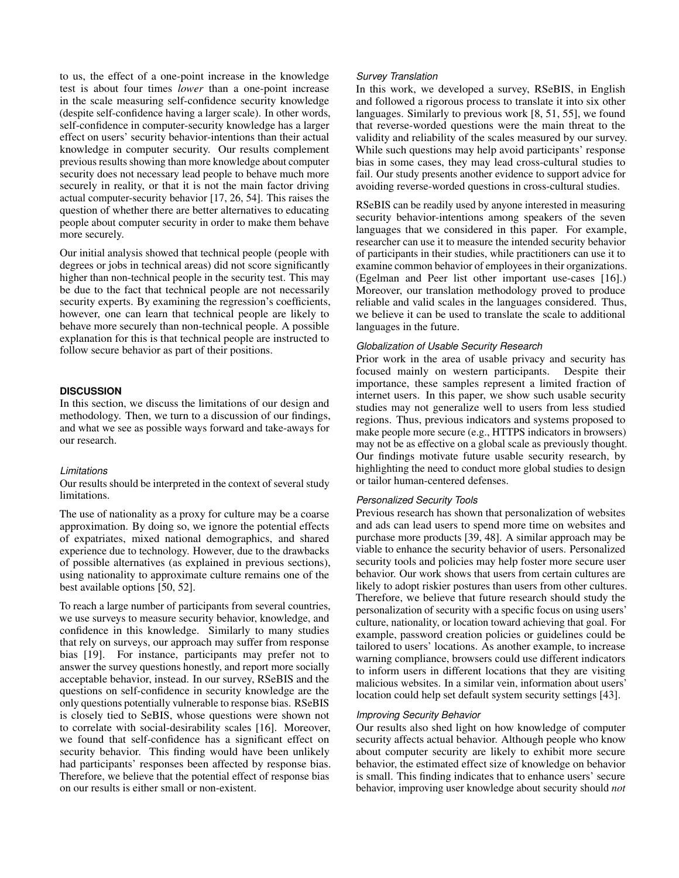to us, the effect of a one-point increase in the knowledge test is about four times *lower* than a one-point increase in the scale measuring self-confidence security knowledge (despite self-confidence having a larger scale). In other words, self-confidence in computer-security knowledge has a larger effect on users' security behavior-intentions than their actual knowledge in computer security. Our results complement previous results showing than more knowledge about computer security does not necessary lead people to behave much more securely in reality, or that it is not the main factor driving actual computer-security behavior [\[17,](#page-10-11) [26,](#page-10-12) [54\]](#page-11-7). This raises the question of whether there are better alternatives to educating people about computer security in order to make them behave more securely.

Our initial analysis showed that technical people (people with degrees or jobs in technical areas) did not score significantly higher than non-technical people in the security test. This may be due to the fact that technical people are not necessarily security experts. By examining the regression's coefficients, however, one can learn that technical people are likely to behave more securely than non-technical people. A possible explanation for this is that technical people are instructed to follow secure behavior as part of their positions.

## **DISCUSSION**

In this section, we discuss the limitations of our design and methodology. Then, we turn to a discussion of our findings, and what we see as possible ways forward and take-aways for our research.

#### *Limitations*

Our results should be interpreted in the context of several study limitations.

The use of nationality as a proxy for culture may be a coarse approximation. By doing so, we ignore the potential effects of expatriates, mixed national demographics, and shared experience due to technology. However, due to the drawbacks of possible alternatives (as explained in previous sections), using nationality to approximate culture remains one of the best available options [\[50,](#page-11-6) [52\]](#page-11-5).

To reach a large number of participants from several countries, we use surveys to measure security behavior, knowledge, and confidence in this knowledge. Similarly to many studies that rely on surveys, our approach may suffer from response bias [\[19\]](#page-10-24). For instance, participants may prefer not to answer the survey questions honestly, and report more socially acceptable behavior, instead. In our survey, RSeBIS and the questions on self-confidence in security knowledge are the only questions potentially vulnerable to response bias. RSeBIS is closely tied to SeBIS, whose questions were shown not to correlate with social-desirability scales [\[16\]](#page-9-3). Moreover, we found that self-confidence has a significant effect on security behavior. This finding would have been unlikely had participants' responses been affected by response bias. Therefore, we believe that the potential effect of response bias on our results is either small or non-existent.

## *Survey Translation*

In this work, we developed a survey, RSeBIS, in English and followed a rigorous process to translate it into six other languages. Similarly to previous work [\[8,](#page-9-5) [51,](#page-11-1) [55\]](#page-11-2), we found that reverse-worded questions were the main threat to the validity and reliability of the scales measured by our survey. While such questions may help avoid participants' response bias in some cases, they may lead cross-cultural studies to fail. Our study presents another evidence to support advice for avoiding reverse-worded questions in cross-cultural studies.

RSeBIS can be readily used by anyone interested in measuring security behavior-intentions among speakers of the seven languages that we considered in this paper. For example, researcher can use it to measure the intended security behavior of participants in their studies, while practitioners can use it to examine common behavior of employees in their organizations. (Egelman and Peer list other important use-cases [\[16\]](#page-9-3).) Moreover, our translation methodology proved to produce reliable and valid scales in the languages considered. Thus, we believe it can be used to translate the scale to additional languages in the future.

## *Globalization of Usable Security Research*

Prior work in the area of usable privacy and security has focused mainly on western participants. Despite their importance, these samples represent a limited fraction of internet users. In this paper, we show such usable security studies may not generalize well to users from less studied regions. Thus, previous indicators and systems proposed to make people more secure (e.g., HTTPS indicators in browsers) may not be as effective on a global scale as previously thought. Our findings motivate future usable security research, by highlighting the need to conduct more global studies to design or tailor human-centered defenses.

#### *Personalized Security Tools*

Previous research has shown that personalization of websites and ads can lead users to spend more time on websites and purchase more products [\[39,](#page-10-25) [48\]](#page-11-12). A similar approach may be viable to enhance the security behavior of users. Personalized security tools and policies may help foster more secure user behavior. Our work shows that users from certain cultures are likely to adopt riskier postures than users from other cultures. Therefore, we believe that future research should study the personalization of security with a specific focus on using users' culture, nationality, or location toward achieving that goal. For example, password creation policies or guidelines could be tailored to users' locations. As another example, to increase warning compliance, browsers could use different indicators to inform users in different locations that they are visiting malicious websites. In a similar vein, information about users' location could help set default system security settings [\[43\]](#page-10-26).

## *Improving Security Behavior*

Our results also shed light on how knowledge of computer security affects actual behavior. Although people who know about computer security are likely to exhibit more secure behavior, the estimated effect size of knowledge on behavior is small. This finding indicates that to enhance users' secure behavior, improving user knowledge about security should *not*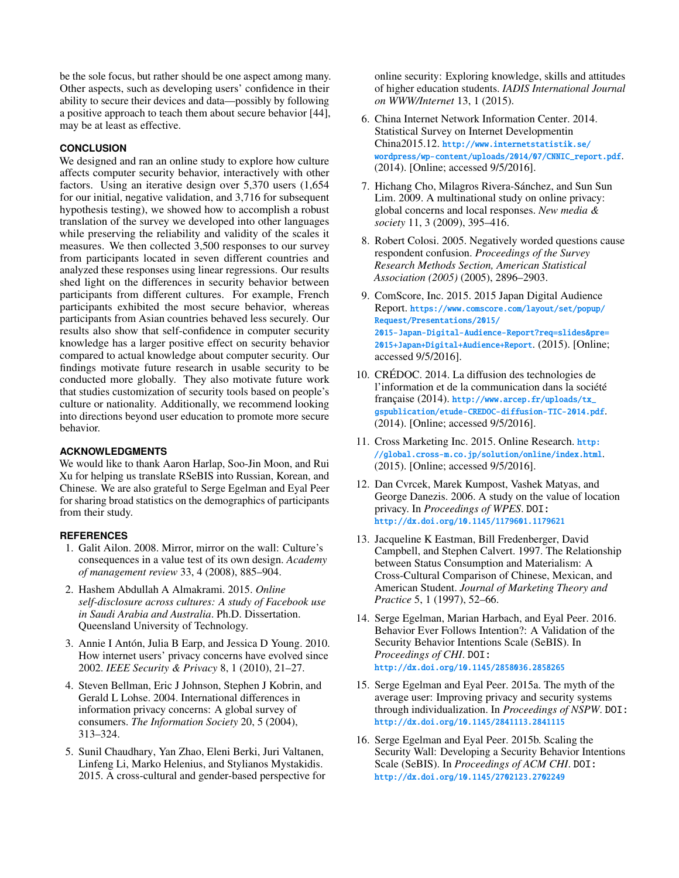be the sole focus, but rather should be one aspect among many. Other aspects, such as developing users' confidence in their ability to secure their devices and data—possibly by following a positive approach to teach them about secure behavior [\[44\]](#page-10-27), may be at least as effective.

# **CONCLUSION**

We designed and ran an online study to explore how culture affects computer security behavior, interactively with other factors. Using an iterative design over 5,370 users (1,654 for our initial, negative validation, and 3,716 for subsequent hypothesis testing), we showed how to accomplish a robust translation of the survey we developed into other languages while preserving the reliability and validity of the scales it measures. We then collected 3,500 responses to our survey from participants located in seven different countries and analyzed these responses using linear regressions. Our results shed light on the differences in security behavior between participants from different cultures. For example, French participants exhibited the most secure behavior, whereas participants from Asian countries behaved less securely. Our results also show that self-confidence in computer security knowledge has a larger positive effect on security behavior compared to actual knowledge about computer security. Our findings motivate future research in usable security to be conducted more globally. They also motivate future work that studies customization of security tools based on people's culture or nationality. Additionally, we recommend looking into directions beyond user education to promote more secure behavior.

# **ACKNOWLEDGMENTS**

We would like to thank Aaron Harlap, Soo-Jin Moon, and Rui Xu for helping us translate RSeBIS into Russian, Korean, and Chinese. We are also grateful to Serge Egelman and Eyal Peer for sharing broad statistics on the demographics of participants from their study.

## <span id="page-9-8"></span>**REFERENCES**

- 1. Galit Ailon. 2008. Mirror, mirror on the wall: Culture's consequences in a value test of its own design. *Academy of management review* 33, 4 (2008), 885–904.
- <span id="page-9-0"></span>2. Hashem Abdullah A Almakrami. 2015. *Online self-disclosure across cultures: A study of Facebook use in Saudi Arabia and Australia*. Ph.D. Dissertation. Queensland University of Technology.
- <span id="page-9-1"></span>3. Annie I Antón, Julia B Earp, and Jessica D Young. 2010. How internet users' privacy concerns have evolved since 2002. *IEEE Security & Privacy* 8, 1 (2010), 21–27.
- <span id="page-9-6"></span>4. Steven Bellman, Eric J Johnson, Stephen J Kobrin, and Gerald L Lohse. 2004. International differences in information privacy concerns: A global survey of consumers. *The Information Society* 20, 5 (2004), 313–324.
- <span id="page-9-9"></span>5. Sunil Chaudhary, Yan Zhao, Eleni Berki, Juri Valtanen, Linfeng Li, Marko Helenius, and Stylianos Mystakidis. 2015. A cross-cultural and gender-based perspective for

online security: Exploring knowledge, skills and attitudes of higher education students. *IADIS International Journal on WWW/Internet* 13, 1 (2015).

- <span id="page-9-13"></span>6. China Internet Network Information Center. 2014. Statistical Survey on Internet Developmentin China2015.12. [http://www.internetstatistik.se/](http://www.internetstatistik.se/wordpress/wp-content/uploads/2014/07/CNNIC_report.pdf) [wordpress/wp-content/uploads/2014/07/CNNIC\\_report.pdf](http://www.internetstatistik.se/wordpress/wp-content/uploads/2014/07/CNNIC_report.pdf). (2014). [Online; accessed 9/5/2016].
- <span id="page-9-7"></span>7. Hichang Cho, Milagros Rivera-Sánchez, and Sun Sun Lim. 2009. A multinational study on online privacy: global concerns and local responses. *New media & society* 11, 3 (2009), 395–416.
- <span id="page-9-5"></span>8. Robert Colosi. 2005. Negatively worded questions cause respondent confusion. *Proceedings of the Survey Research Methods Section, American Statistical Association (2005)* (2005), 2896–2903.
- <span id="page-9-15"></span>9. ComScore, Inc. 2015. 2015 Japan Digital Audience Report. [https://www.comscore.com/layout/set/popup/](https://www.comscore.com/layout/set/popup/Request/Presentations/2015/2015-Japan-Digital-Audience-Report?req=slides&pre=2015+Japan+Digital+Audience+Report) [Request/Presentations/2015/](https://www.comscore.com/layout/set/popup/Request/Presentations/2015/2015-Japan-Digital-Audience-Report?req=slides&pre=2015+Japan+Digital+Audience+Report) [2015-Japan-Digital-Audience-Report?req=slides&pre=](https://www.comscore.com/layout/set/popup/Request/Presentations/2015/2015-Japan-Digital-Audience-Report?req=slides&pre=2015+Japan+Digital+Audience+Report) [2015+Japan+Digital+Audience+Report](https://www.comscore.com/layout/set/popup/Request/Presentations/2015/2015-Japan-Digital-Audience-Report?req=slides&pre=2015+Japan+Digital+Audience+Report). (2015). [Online; accessed 9/5/2016].
- <span id="page-9-14"></span>10. CRÉDOC. 2014. La diffusion des technologies de l'information et de la communication dans la société française (2014). [http://www.arcep.fr/uploads/tx\\_](http://www.arcep.fr/uploads/tx_gspublication/etude-CREDOC-diffusion-TIC-2014.pdf) [gspublication/etude-CREDOC-diffusion-TIC-2014.pdf](http://www.arcep.fr/uploads/tx_gspublication/etude-CREDOC-diffusion-TIC-2014.pdf). (2014). [Online; accessed 9/5/2016].
- <span id="page-9-12"></span>11. Cross Marketing Inc. 2015. Online Research. [http:](http://global.cross-m.co.jp/solution/online/index.html) [//global.cross-m.co.jp/solution/online/index.html](http://global.cross-m.co.jp/solution/online/index.html). (2015). [Online; accessed 9/5/2016].
- <span id="page-9-2"></span>12. Dan Cvrcek, Marek Kumpost, Vashek Matyas, and George Danezis. 2006. A study on the value of location privacy. In *Proceedings of WPES*. DOI: <http://dx.doi.org/10.1145/1179601.1179621>
- <span id="page-9-4"></span>13. Jacqueline K Eastman, Bill Fredenberger, David Campbell, and Stephen Calvert. 1997. The Relationship between Status Consumption and Materialism: A Cross-Cultural Comparison of Chinese, Mexican, and American Student. *Journal of Marketing Theory and Practice* 5, 1 (1997), 52–66.
- <span id="page-9-10"></span>14. Serge Egelman, Marian Harbach, and Eyal Peer. 2016. Behavior Ever Follows Intention?: A Validation of the Security Behavior Intentions Scale (SeBIS). In *Proceedings of CHI*. DOI: <http://dx.doi.org/10.1145/2858036.2858265>
- <span id="page-9-11"></span>15. Serge Egelman and Eyal Peer. 2015a. The myth of the average user: Improving privacy and security systems through individualization. In *Proceedings of NSPW*. DOI: <http://dx.doi.org/10.1145/2841113.2841115>
- <span id="page-9-3"></span>16. Serge Egelman and Eyal Peer. 2015b. Scaling the Security Wall: Developing a Security Behavior Intentions Scale (SeBIS). In *Proceedings of ACM CHI*. DOI: <http://dx.doi.org/10.1145/2702123.2702249>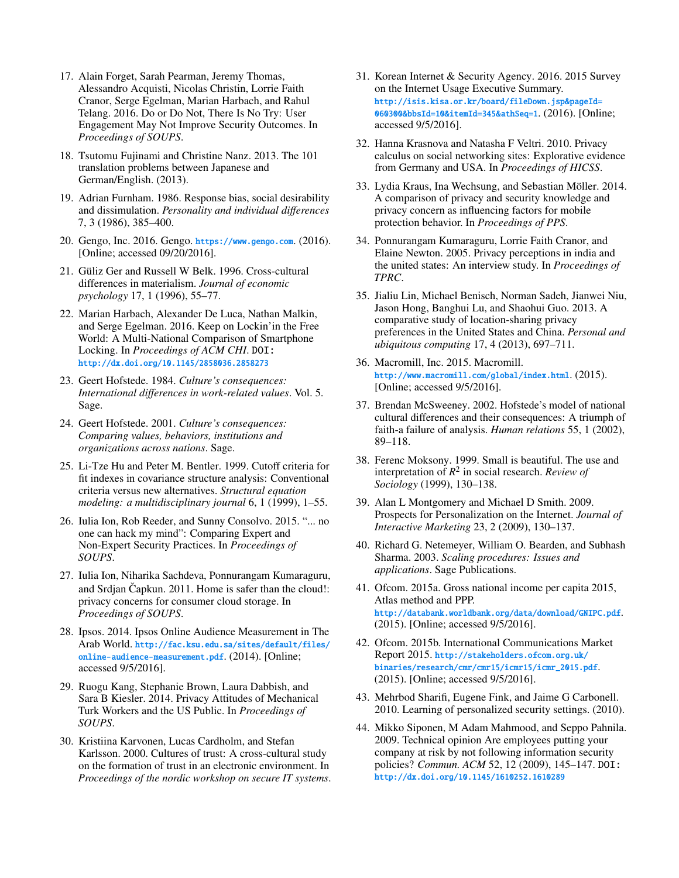- <span id="page-10-11"></span>17. Alain Forget, Sarah Pearman, Jeremy Thomas, Alessandro Acquisti, Nicolas Christin, Lorrie Faith Cranor, Serge Egelman, Marian Harbach, and Rahul Telang. 2016. Do or Do Not, There Is No Try: User Engagement May Not Improve Security Outcomes. In *Proceedings of SOUPS*.
- <span id="page-10-14"></span>18. Tsutomu Fujinami and Christine Nanz. 2013. The 101 translation problems between Japanese and German/English. (2013).
- <span id="page-10-24"></span>19. Adrian Furnham. 1986. Response bias, social desirability and dissimulation. *Personality and individual differences* 7, 3 (1986), 385–400.
- <span id="page-10-19"></span>20. Gengo, Inc. 2016. Gengo. <https://www.gengo.com>. (2016). [Online; accessed 09/20/2016].
- <span id="page-10-2"></span>21. Güliz Ger and Russell W Belk. 1996. Cross-cultural differences in materialism. *Journal of economic psychology* 17, 1 (1996), 55–77.
- <span id="page-10-1"></span>22. Marian Harbach, Alexander De Luca, Nathan Malkin, and Serge Egelman. 2016. Keep on Lockin'in the Free World: A Multi-National Comparison of Smartphone Locking. In *Proceedings of ACM CHI*. DOI: <http://dx.doi.org/10.1145/2858036.2858273>
- <span id="page-10-3"></span>23. Geert Hofstede. 1984. *Culture's consequences: International differences in work-related values*. Vol. 5. Sage.
- <span id="page-10-4"></span>24. Geert Hofstede. 2001. *Culture's consequences: Comparing values, behaviors, institutions and organizations across nations*. Sage.
- <span id="page-10-16"></span>25. Li-Tze Hu and Peter M. Bentler. 1999. Cutoff criteria for fit indexes in covariance structure analysis: Conventional criteria versus new alternatives. *Structural equation modeling: a multidisciplinary journal* 6, 1 (1999), 1–55.
- <span id="page-10-12"></span>26. Iulia Ion, Rob Reeder, and Sunny Consolvo. 2015. "... no one can hack my mind": Comparing Expert and Non-Expert Security Practices. In *Proceedings of SOUPS*.
- <span id="page-10-6"></span>27. Iulia Ion, Niharika Sachdeva, Ponnurangam Kumaraguru, and Srdjan Čapkun. 2011. Home is safer than the cloud!: privacy concerns for consumer cloud storage. In *Proceedings of SOUPS*.
- <span id="page-10-21"></span>28. Ipsos. 2014. Ipsos Online Audience Measurement in The Arab World. [http://fac.ksu.edu.sa/sites/default/files/](http://fac.ksu.edu.sa/sites/default/files/online-audience-measurement.pdf) [online-audience-measurement.pdf](http://fac.ksu.edu.sa/sites/default/files/online-audience-measurement.pdf). (2014). [Online; accessed 9/5/2016].
- <span id="page-10-7"></span>29. Ruogu Kang, Stephanie Brown, Laura Dabbish, and Sara B Kiesler. 2014. Privacy Attitudes of Mechanical Turk Workers and the US Public. In *Proceedings of SOUPS*.
- <span id="page-10-10"></span>30. Kristiina Karvonen, Lucas Cardholm, and Stefan Karlsson. 2000. Cultures of trust: A cross-cultural study on the formation of trust in an electronic environment. In *Proceedings of the nordic workshop on secure IT systems*.
- <span id="page-10-20"></span>31. Korean Internet & Security Agency. 2016. 2015 Survey on the Internet Usage Executive Summary. [http://isis.kisa.or.kr/board/fileDown.jsp&pageId=](http://isis.kisa.or.kr/board/fileDown.jsp&pageId=060300&bbsId=10&itemId=345&athSeq=1) [060300&bbsId=10&itemId=345&athSeq=1](http://isis.kisa.or.kr/board/fileDown.jsp&pageId=060300&bbsId=10&itemId=345&athSeq=1). (2016). [Online; accessed 9/5/2016].
- <span id="page-10-0"></span>32. Hanna Krasnova and Natasha F Veltri. 2010. Privacy calculus on social networking sites: Explorative evidence from Germany and USA. In *Proceedings of HICSS*.
- <span id="page-10-13"></span>33. Lydia Kraus, Ina Wechsung, and Sebastian Möller. 2014. A comparison of privacy and security knowledge and privacy concern as influencing factors for mobile protection behavior. In *Proceedings of PPS*.
- <span id="page-10-8"></span>34. Ponnurangam Kumaraguru, Lorrie Faith Cranor, and Elaine Newton. 2005. Privacy perceptions in india and the united states: An interview study. In *Proceedings of TPRC*.
- <span id="page-10-9"></span>35. Jialiu Lin, Michael Benisch, Norman Sadeh, Jianwei Niu, Jason Hong, Banghui Lu, and Shaohui Guo. 2013. A comparative study of location-sharing privacy preferences in the United States and China. *Personal and ubiquitous computing* 17, 4 (2013), 697–711.
- <span id="page-10-15"></span>36. Macromill, Inc. 2015. Macromill. <http://www.macromill.com/global/index.html>. (2015). [Online; accessed 9/5/2016].
- <span id="page-10-5"></span>37. Brendan McSweeney. 2002. Hofstede's model of national cultural differences and their consequences: A triumph of faith-a failure of analysis. *Human relations* 55, 1 (2002), 89–118.
- <span id="page-10-23"></span>38. Ferenc Moksony. 1999. Small is beautiful. The use and interpretation of *R* 2 in social research. *Review of Sociology* (1999), 130–138.
- <span id="page-10-25"></span>39. Alan L Montgomery and Michael D Smith. 2009. Prospects for Personalization on the Internet. *Journal of Interactive Marketing* 23, 2 (2009), 130–137.
- <span id="page-10-17"></span>40. Richard G. Netemeyer, William O. Bearden, and Subhash Sharma. 2003. *Scaling procedures: Issues and applications*. Sage Publications.
- <span id="page-10-18"></span>41. Ofcom. 2015a. Gross national income per capita 2015, Atlas method and PPP. <http://databank.worldbank.org/data/download/GNIPC.pdf>. (2015). [Online; accessed 9/5/2016].
- <span id="page-10-22"></span>42. Ofcom. 2015b. International Communications Market Report 2015. [http://stakeholders.ofcom.org.uk/](http://stakeholders.ofcom.org.uk/binaries/research/cmr/cmr15/icmr15/icmr_2015.pdf) [binaries/research/cmr/cmr15/icmr15/icmr\\_2015.pdf](http://stakeholders.ofcom.org.uk/binaries/research/cmr/cmr15/icmr15/icmr_2015.pdf). (2015). [Online; accessed 9/5/2016].
- <span id="page-10-26"></span>43. Mehrbod Sharifi, Eugene Fink, and Jaime G Carbonell. 2010. Learning of personalized security settings. (2010).
- <span id="page-10-27"></span>44. Mikko Siponen, M Adam Mahmood, and Seppo Pahnila. 2009. Technical opinion Are employees putting your company at risk by not following information security policies? *Commun. ACM* 52, 12 (2009), 145–147. DOI: <http://dx.doi.org/10.1145/1610252.1610289>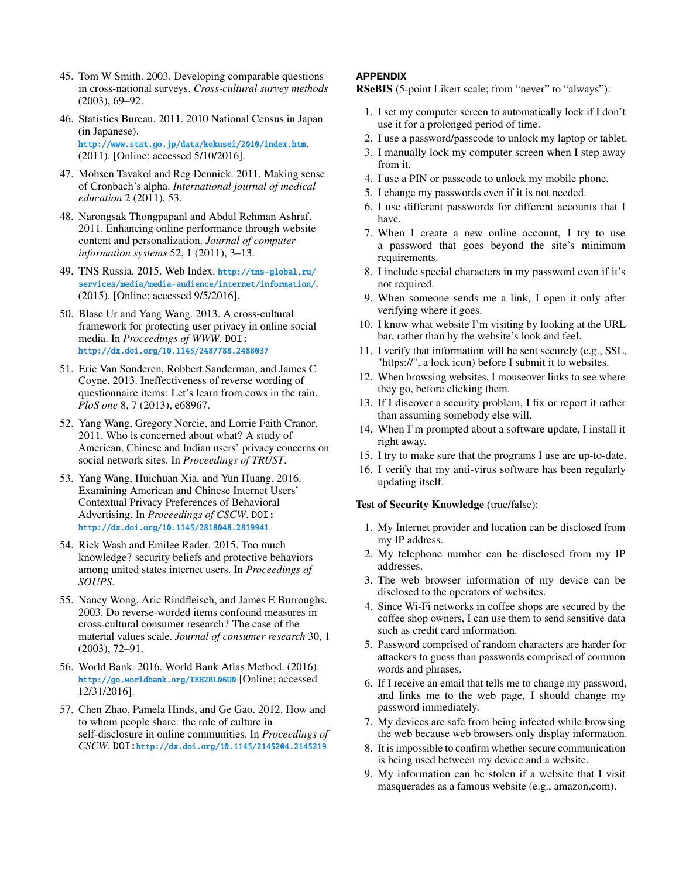- <span id="page-11-0"></span>45. Tom W Smith. 2003. Developing comparable questions in cross-national surveys. *Cross-cultural survey methods* (2003), 69–92.
- <span id="page-11-8"></span>46. Statistics Bureau. 2011. 2010 National Census in Japan (in Japanese). <http://www.stat.go.jp/data/kokusei/2010/index.htm>. (2011). [Online; accessed 5/10/2016].
- <span id="page-11-9"></span>47. Mohsen Tavakol and Reg Dennick. 2011. Making sense of Cronbach's alpha. *International journal of medical education* 2 (2011), 53.
- <span id="page-11-12"></span>48. Narongsak Thongpapanl and Abdul Rehman Ashraf. 2011. Enhancing online performance through website content and personalization. *Journal of computer information systems* 52, 1 (2011), 3–13.
- <span id="page-11-11"></span>49. TNS Russia. 2015. Web Index. [http://tns-global.ru/](http://tns-global.ru/services/media/media-audience/internet/information/) [services/media/media-audience/internet/information/](http://tns-global.ru/services/media/media-audience/internet/information/). (2015). [Online; accessed 9/5/2016].
- <span id="page-11-6"></span>50. Blase Ur and Yang Wang. 2013. A cross-cultural framework for protecting user privacy in online social media. In *Proceedings of WWW*. DOI: <http://dx.doi.org/10.1145/2487788.2488037>
- <span id="page-11-1"></span>51. Eric Van Sonderen, Robbert Sanderman, and James C Coyne. 2013. Ineffectiveness of reverse wording of questionnaire items: Let's learn from cows in the rain. *PloS one* 8, 7 (2013), e68967.
- <span id="page-11-5"></span>52. Yang Wang, Gregory Norcie, and Lorrie Faith Cranor. 2011. Who is concerned about what? A study of American, Chinese and Indian users' privacy concerns on social network sites. In *Proceedings of TRUST*.
- <span id="page-11-3"></span>53. Yang Wang, Huichuan Xia, and Yun Huang. 2016. Examining American and Chinese Internet Users' Contextual Privacy Preferences of Behavioral Advertising. In *Proceedings of CSCW*. DOI: <http://dx.doi.org/10.1145/2818048.2819941>
- <span id="page-11-7"></span>54. Rick Wash and Emilee Rader. 2015. Too much knowledge? security beliefs and protective behaviors among united states internet users. In *Proceedings of SOUPS*.
- <span id="page-11-2"></span>55. Nancy Wong, Aric Rindfleisch, and James E Burroughs. 2003. Do reverse-worded items confound measures in cross-cultural consumer research? The case of the material values scale. *Journal of consumer research* 30, 1 (2003), 72–91.
- <span id="page-11-10"></span>56. World Bank. 2016. World Bank Atlas Method. (2016). <http://go.worldbank.org/IEH2RL06U0> [Online; accessed 12/31/2016].
- <span id="page-11-4"></span>57. Chen Zhao, Pamela Hinds, and Ge Gao. 2012. How and to whom people share: the role of culture in self-disclosure in online communities. In *Proceedings of CSCW*. DOI:<http://dx.doi.org/10.1145/2145204.2145219>

# **APPENDIX**

RSeBIS (5-point Likert scale; from "never" to "always"):

- 1. I set my computer screen to automatically lock if I don't use it for a prolonged period of time.
- 2. I use a password/passcode to unlock my laptop or tablet.
- 3. I manually lock my computer screen when I step away from it.
- 4. I use a PIN or passcode to unlock my mobile phone.
- 5. I change my passwords even if it is not needed.
- 6. I use different passwords for different accounts that I have.
- 7. When I create a new online account, I try to use a password that goes beyond the site's minimum requirements.
- 8. I include special characters in my password even if it's not required.
- 9. When someone sends me a link, I open it only after verifying where it goes.
- 10. I know what website I'm visiting by looking at the URL bar, rather than by the website's look and feel.
- 11. I verify that information will be sent securely (e.g., SSL, "https://", a lock icon) before I submit it to websites.
- 12. When browsing websites, I mouseover links to see where they go, before clicking them.
- 13. If I discover a security problem, I fix or report it rather than assuming somebody else will.
- 14. When I'm prompted about a software update, I install it right away.
- 15. I try to make sure that the programs I use are up-to-date.
- 16. I verify that my anti-virus software has been regularly updating itself.

## Test of Security Knowledge (true/false):

- 1. My Internet provider and location can be disclosed from my IP address.
- 2. My telephone number can be disclosed from my IP addresses.
- 3. The web browser information of my device can be disclosed to the operators of websites.
- 4. Since Wi-Fi networks in coffee shops are secured by the coffee shop owners, I can use them to send sensitive data such as credit card information.
- 5. Password comprised of random characters are harder for attackers to guess than passwords comprised of common words and phrases.
- 6. If I receive an email that tells me to change my password, and links me to the web page, I should change my password immediately.
- 7. My devices are safe from being infected while browsing the web because web browsers only display information.
- 8. It is impossible to confirm whether secure communication is being used between my device and a website.
- 9. My information can be stolen if a website that I visit masquerades as a famous website (e.g., amazon.com).